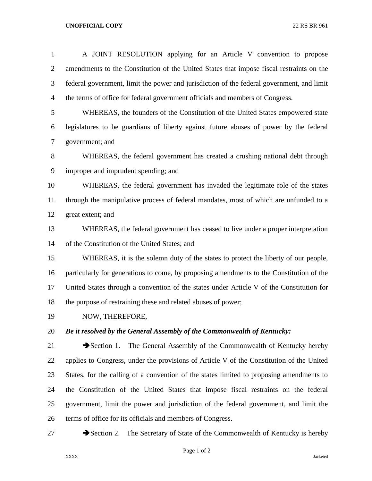## **UNOFFICIAL COPY** 22 RS BR 961

| $\mathbf{1}$   | A JOINT RESOLUTION applying for an Article V convention to propose                        |
|----------------|-------------------------------------------------------------------------------------------|
| $\overline{2}$ | amendments to the Constitution of the United States that impose fiscal restraints on the  |
| 3              | federal government, limit the power and jurisdiction of the federal government, and limit |
| $\overline{4}$ | the terms of office for federal government officials and members of Congress.             |
| 5              | WHEREAS, the founders of the Constitution of the United States empowered state            |
| 6              | legislatures to be guardians of liberty against future abuses of power by the federal     |
| $\tau$         | government; and                                                                           |
| $8\,$          | WHEREAS, the federal government has created a crushing national debt through              |
| $\mathbf{9}$   | improper and imprudent spending; and                                                      |
| 10             | WHEREAS, the federal government has invaded the legitimate role of the states             |
| 11             | through the manipulative process of federal mandates, most of which are unfunded to a     |
| 12             | great extent; and                                                                         |
| 13             | WHEREAS, the federal government has ceased to live under a proper interpretation          |
| 14             | of the Constitution of the United States; and                                             |
| 15             | WHEREAS, it is the solemn duty of the states to protect the liberty of our people,        |
| 16             | particularly for generations to come, by proposing amendments to the Constitution of the  |
| 17             | United States through a convention of the states under Article V of the Constitution for  |
| 18             | the purpose of restraining these and related abuses of power;                             |
| 19             | NOW, THEREFORE,                                                                           |
| 20             | Be it resolved by the General Assembly of the Commonwealth of Kentucky:                   |
| 21             | The General Assembly of the Commonwealth of Kentucky hereby<br>$\rightarrow$ Section 1.   |
| 22             | applies to Congress, under the provisions of Article V of the Constitution of the United  |
| 23             | States, for the calling of a convention of the states limited to proposing amendments to  |
| 24             | the Constitution of the United States that impose fiscal restraints on the federal        |
| 25             | government, limit the power and jurisdiction of the federal government, and limit the     |
| 26             | terms of office for its officials and members of Congress.                                |

27 Section 2. The Secretary of State of the Commonwealth of Kentucky is hereby